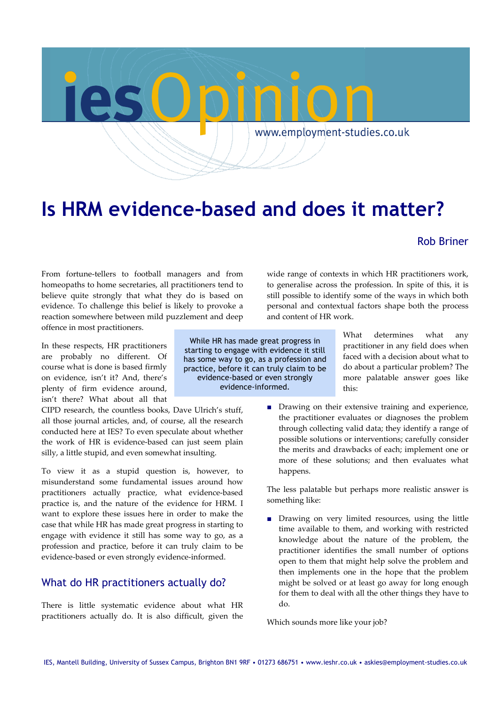

# **Is HRM evidence-based and does it matter?**

### Rob Briner

From fortune-tellers to football managers and from homeopaths to home secretaries, all practitioners tend to believe quite strongly that what they do is based on evidence. To challenge this belief is likely to provoke a reaction somewhere between mild puzzlement and deep offence in most practitioners.

In these respects, HR practitioners are probably no different. Of course what is done is based firmly on evidence, isn't it? And, there's plenty of firm evidence around, isn't there? What about all that

CIPD research, the countless books, Dave Ulrich's stuff, all those journal articles, and, of course, all the research conducted here at IES? To even speculate about whether the work of HR is evidence‐based can just seem plain silly, a little stupid, and even somewhat insulting.

To view it as a stupid question is, however, to misunderstand some fundamental issues around how practitioners actually practice, what evidence-based practice is, and the nature of the evidence for HRM. I want to explore these issues here in order to make the case that while HR has made great progress in starting to engage with evidence it still has some way to go, as a profession and practice, before it can truly claim to be evidence‐based or even strongly evidence‐informed.

# What do HR practitioners actually do?

There is little systematic evidence about what HR practitioners actually do. It is also difficult, given the

While HR has made great progress in starting to engage with evidence it still has some way to go, as a profession and practice, before it can truly claim to be evidence-based or even strongly evidence-informed.

wide range of contexts in which HR practitioners work, to generalise across the profession. In spite of this, it is still possible to identify some of the ways in which both personal and contextual factors shape both the process and content of HR work.

> What determines what any practitioner in any field does when faced with a decision about what to do about a particular problem? The more palatable answer goes like this:

■ Drawing on their extensive training and experience, the practitioner evaluates or diagnoses the problem through collecting valid data; they identify a range of possible solutions or interventions; carefully consider the merits and drawbacks of each; implement one or more of these solutions; and then evaluates what happens.

The less palatable but perhaps more realistic answer is something like:

■ Drawing on very limited resources, using the little time available to them, and working with restricted knowledge about the nature of the problem, the practitioner identifies the small number of options open to them that might help solve the problem and then implements one in the hope that the problem might be solved or at least go away for long enough for them to deal with all the other things they have to do.

Which sounds more like your job?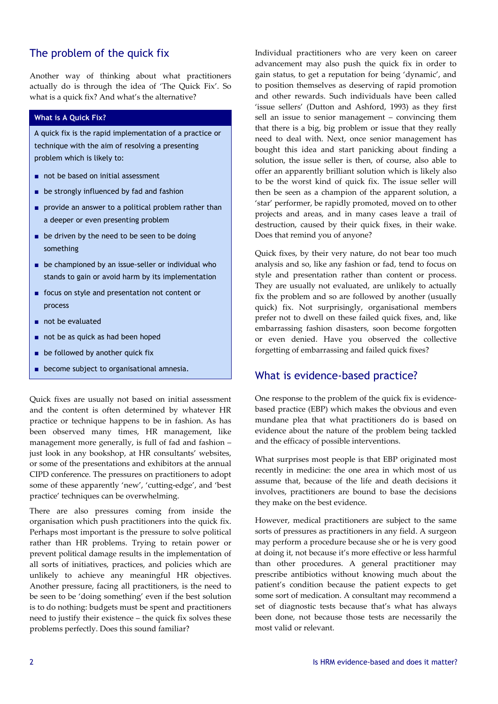# The problem of the quick fix

Another way of thinking about what practitioners actually do is through the idea of 'The Quick Fix'. So what is a quick fix? And what's the alternative?

### **What is A Quick Fix?**

A quick fix is the rapid implementation of a practice or technique with the aim of resolving a presenting problem which is likely to:

- not be based on initial assessment
- be strongly influenced by fad and fashion
- provide an answer to a political problem rather than a deeper or even presenting problem
- be driven by the need to be seen to be doing something
- be championed by an issue-seller or individual who stands to gain or avoid harm by its implementation
- focus on style and presentation not content or process
- not be evaluated
- not be as quick as had been hoped
- be followed by another quick fix
- become subject to organisational amnesia.

Quick fixes are usually not based on initial assessment and the content is often determined by whatever HR practice or technique happens to be in fashion. As has been observed many times, HR management, like management more generally, is full of fad and fashion – just look in any bookshop, at HR consultants' websites, or some of the presentations and exhibitors at the annual CIPD conference. The pressures on practitioners to adopt some of these apparently 'new', 'cutting-edge', and 'best practice' techniques can be overwhelming.

There are also pressures coming from inside the organisation which push practitioners into the quick fix. Perhaps most important is the pressure to solve political rather than HR problems. Trying to retain power or prevent political damage results in the implementation of all sorts of initiatives, practices, and policies which are unlikely to achieve any meaningful HR objectives. Another pressure, facing all practitioners, is the need to be seen to be 'doing something' even if the best solution is to do nothing: budgets must be spent and practitioners need to justify their existence – the quick fix solves these problems perfectly. Does this sound familiar?

Individual practitioners who are very keen on career advancement may also push the quick fix in order to gain status, to get a reputation for being 'dynamic', and to position themselves as deserving of rapid promotion and other rewards. Such individuals have been called 'issue sellers' (Dutton and Ashford, 1993) as they first sell an issue to senior management – convincing them that there is a big, big problem or issue that they really need to deal with. Next, once senior management has bought this idea and start panicking about finding a solution, the issue seller is then, of course, also able to offer an apparently brilliant solution which is likely also to be the worst kind of quick fix. The issue seller will then be seen as a champion of the apparent solution, a 'star' performer, be rapidly promoted, moved on to other projects and areas, and in many cases leave a trail of destruction, caused by their quick fixes, in their wake. Does that remind you of anyone?

Quick fixes, by their very nature, do not bear too much analysis and so, like any fashion or fad, tend to focus on style and presentation rather than content or process. They are usually not evaluated, are unlikely to actually fix the problem and so are followed by another (usually quick) fix. Not surprisingly, organisational members prefer not to dwell on these failed quick fixes, and, like embarrassing fashion disasters, soon become forgotten or even denied. Have you observed the collective forgetting of embarrassing and failed quick fixes?

### What is evidence-based practice?

One response to the problem of the quick fix is evidence‐ based practice (EBP) which makes the obvious and even mundane plea that what practitioners do is based on evidence about the nature of the problem being tackled and the efficacy of possible interventions.

What surprises most people is that EBP originated most recently in medicine: the one area in which most of us assume that, because of the life and death decisions it involves, practitioners are bound to base the decisions they make on the best evidence.

However, medical practitioners are subject to the same sorts of pressures as practitioners in any field. A surgeon may perform a procedure because she or he is very good at doing it, not because it's more effective or less harmful than other procedures. A general practitioner may prescribe antibiotics without knowing much about the patient's condition because the patient expects to get some sort of medication. A consultant may recommend a set of diagnostic tests because that's what has always been done, not because those tests are necessarily the most valid or relevant.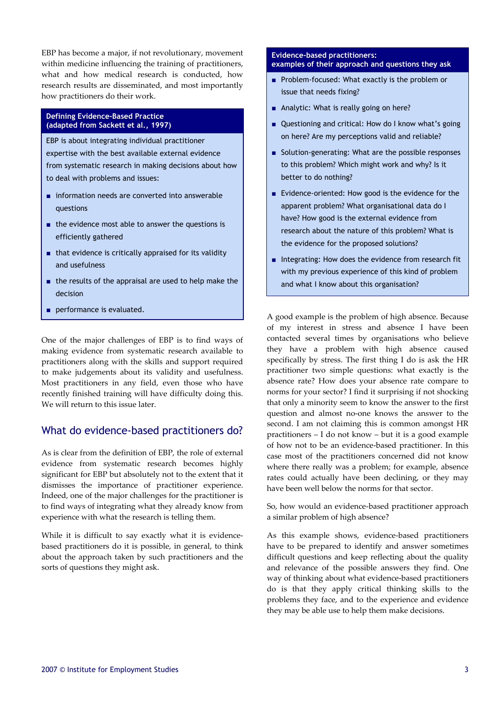EBP has become a major, if not revolutionary, movement within medicine influencing the training of practitioners, what and how medical research is conducted, how research results are disseminated, and most importantly how practitioners do their work.

#### **Defining Evidence-Based Practice (adapted from Sackett et al., 1997)**

EBP is about integrating individual practitioner expertise with the best available external evidence from systematic research in making decisions about how to deal with problems and issues:

- information needs are converted into answerable questions
- the evidence most able to answer the questions is efficiently gathered
- that evidence is critically appraised for its validity and usefulness
- the results of the appraisal are used to help make the decision
- performance is evaluated.

One of the major challenges of EBP is to find ways of making evidence from systematic research available to practitioners along with the skills and support required to make judgements about its validity and usefulness. Most practitioners in any field, even those who have recently finished training will have difficulty doing this. We will return to this issue later.

# What do evidence-based practitioners do?

As is clear from the definition of EBP, the role of external evidence from systematic research becomes highly significant for EBP but absolutely not to the extent that it dismisses the importance of practitioner experience. Indeed, one of the major challenges for the practitioner is to find ways of integrating what they already know from experience with what the research is telling them.

While it is difficult to say exactly what it is evidencebased practitioners do it is possible, in general, to think about the approach taken by such practitioners and the sorts of questions they might ask.

#### **Evidence-based practitioners: examples of their approach and questions they ask**

- Problem-focused: What exactly is the problem or issue that needs fixing?
- Analytic: What is really going on here?
- Questioning and critical: How do I know what's going on here? Are my perceptions valid and reliable?
- Solution-generating: What are the possible responses to this problem? Which might work and why? Is it better to do nothing?
- Evidence-oriented: How good is the evidence for the apparent problem? What organisational data do I have? How good is the external evidence from research about the nature of this problem? What is the evidence for the proposed solutions?
- Integrating: How does the evidence from research fit with my previous experience of this kind of problem and what I know about this organisation?

A good example is the problem of high absence. Because of my interest in stress and absence I have been contacted several times by organisations who believe they have a problem with high absence caused specifically by stress. The first thing I do is ask the HR practitioner two simple questions: what exactly is the absence rate? How does your absence rate compare to norms for your sector? I find it surprising if not shocking that only a minority seem to know the answer to the first question and almost no‐one knows the answer to the second. I am not claiming this is common amongst HR practitioners – I do not know – but it is a good example of how not to be an evidence‐based practitioner. In this case most of the practitioners concerned did not know where there really was a problem; for example, absence rates could actually have been declining, or they may have been well below the norms for that sector.

So, how would an evidence‐based practitioner approach a similar problem of high absence?

As this example shows, evidence-based practitioners have to be prepared to identify and answer sometimes difficult questions and keep reflecting about the quality and relevance of the possible answers they find. One way of thinking about what evidence-based practitioners do is that they apply critical thinking skills to the problems they face, and to the experience and evidence they may be able use to help them make decisions.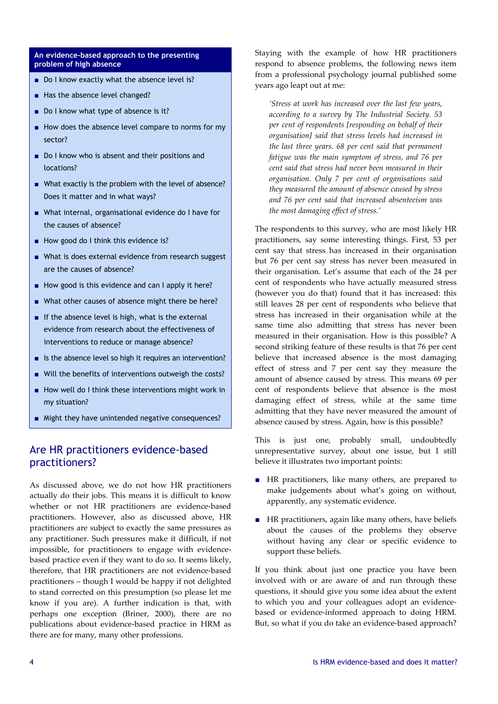#### **An evidence-based approach to the presenting problem of high absence**

- Do I know exactly what the absence level is?
- Has the absence level changed?
- Do I know what type of absence is it?
- How does the absence level compare to norms for my sector?
- Do I know who is absent and their positions and locations?
- What exactly is the problem with the level of absence? Does it matter and in what ways?
- What internal, organisational evidence do I have for the causes of absence?
- How good do I think this evidence is?
- What is does external evidence from research suggest are the causes of absence?
- How good is this evidence and can I apply it here?
- What other causes of absence might there be here?
- If the absence level is high, what is the external evidence from research about the effectiveness of interventions to reduce or manage absence?
- Is the absence level so high it requires an intervention?
- Will the benefits of interventions outweigh the costs?
- How well do I think these interventions might work in my situation?
- Might they have unintended negative consequences?

### Are HR practitioners evidence-based practitioners?

As discussed above, we do not how HR practitioners actually do their jobs. This means it is difficult to know whether or not HR practitioners are evidence-based practitioners. However, also as discussed above, HR practitioners are subject to exactly the same pressures as any practitioner. Such pressures make it difficult, if not impossible, for practitioners to engage with evidencebased practice even if they want to do so. It seems likely, therefore, that HR practitioners are not evidence-based practitioners – though I would be happy if not delighted to stand corrected on this presumption (so please let me know if you are). A further indication is that, with perhaps one exception (Briner, 2000), there are no publications about evidence‐based practice in HRM as there are for many, many other professions.

Staying with the example of how HR practitioners respond to absence problems, the following news item from a professional psychology journal published some years ago leapt out at me:

*'Stress at work has increased over the last few years, according to a survey by The Industrial Society. 53 per cent of respondents [responding on behalf of their organisation] said that stress levels had increased in the last three years. 68 per cent said that permanent fatigue was the main symptom of stress, and 76 per cent said that stress had never been measured in their organisation. Only 7 per cent of organisations said they measured the amount of absence caused by stress and 76 per cent said that increased absenteeism was the most damaging effect of stress.'*

The respondents to this survey, who are most likely HR practitioners, say some interesting things. First, 53 per cent say that stress has increased in their organisation but 76 per cent say stress has never been measured in their organisation. Let's assume that each of the 24 per cent of respondents who have actually measured stress (however you do that) found that it has increased: this still leaves 28 per cent of respondents who believe that stress has increased in their organisation while at the same time also admitting that stress has never been measured in their organisation. How is this possible? A second striking feature of these results is that 76 per cent believe that increased absence is the most damaging effect of stress and 7 per cent say they measure the amount of absence caused by stress. This means 69 per cent of respondents believe that absence is the most damaging effect of stress, while at the same time admitting that they have never measured the amount of absence caused by stress. Again, how is this possible?

This is just one, probably small, undoubtedly unrepresentative survey, about one issue, but I still believe it illustrates two important points:

- HR practitioners, like many others, are prepared to make judgements about what's going on without, apparently, any systematic evidence.
- HR practitioners, again like many others, have beliefs about the causes of the problems they observe without having any clear or specific evidence to support these beliefs.

If you think about just one practice you have been involved with or are aware of and run through these questions, it should give you some idea about the extent to which you and your colleagues adopt an evidencebased or evidence‐informed approach to doing HRM. But, so what if you do take an evidence-based approach?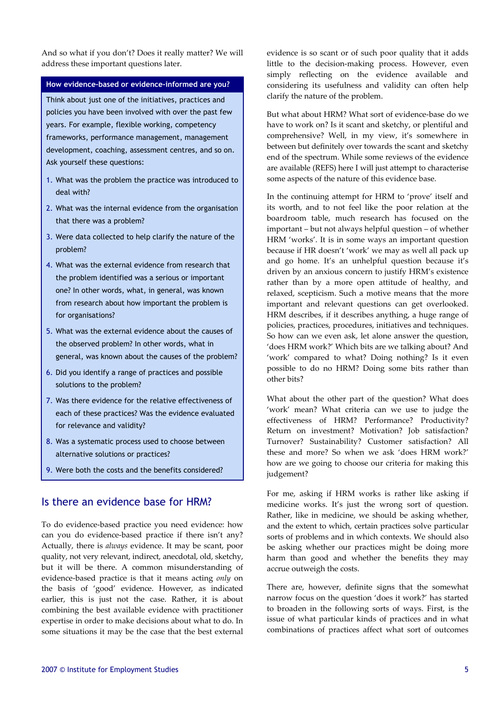And so what if you don't? Does it really matter? We will address these important questions later.

### **How evidence-based or evidence-informed are you?**

Think about just one of the initiatives, practices and policies you have been involved with over the past few years. For example, flexible working, competency frameworks, performance management, management development, coaching, assessment centres, and so on. Ask yourself these questions:

- 1. What was the problem the practice was introduced to deal with?
- 2. What was the internal evidence from the organisation that there was a problem?
- 3. Were data collected to help clarify the nature of the problem?
- 4. What was the external evidence from research that the problem identified was a serious or important one? In other words, what, in general, was known from research about how important the problem is for organisations?
- 5. What was the external evidence about the causes of the observed problem? In other words, what in general, was known about the causes of the problem?
- 6. Did you identify a range of practices and possible solutions to the problem?
- 7. Was there evidence for the relative effectiveness of each of these practices? Was the evidence evaluated for relevance and validity?
- 8. Was a systematic process used to choose between alternative solutions or practices?
- 9. Were both the costs and the benefits considered?

### Is there an evidence base for HRM?

To do evidence‐based practice you need evidence: how can you do evidence-based practice if there isn't any? Actually, there is *always* evidence. It may be scant, poor quality, not very relevant, indirect, anecdotal, old, sketchy, but it will be there. A common misunderstanding of evidence‐based practice is that it means acting *only* on the basis of 'good' evidence. However, as indicated earlier, this is just not the case. Rather, it is about combining the best available evidence with practitioner expertise in order to make decisions about what to do. In some situations it may be the case that the best external

evidence is so scant or of such poor quality that it adds little to the decision‐making process. However, even simply reflecting on the evidence available and considering its usefulness and validity can often help clarify the nature of the problem.

But what about HRM? What sort of evidence‐base do we have to work on? Is it scant and sketchy, or plentiful and comprehensive? Well, in my view, it's somewhere in between but definitely over towards the scant and sketchy end of the spectrum. While some reviews of the evidence are available (REFS) here I will just attempt to characterise some aspects of the nature of this evidence base.

In the continuing attempt for HRM to 'prove' itself and its worth, and to not feel like the poor relation at the boardroom table, much research has focused on the important – but not always helpful question – of whether HRM 'works'. It is in some ways an important question because if HR doesn't 'work' we may as well all pack up and go home. It's an unhelpful question because it's driven by an anxious concern to justify HRM's existence rather than by a more open attitude of healthy, and relaxed, scepticism. Such a motive means that the more important and relevant questions can get overlooked. HRM describes, if it describes anything, a huge range of policies, practices, procedures, initiatives and techniques. So how can we even ask, let alone answer the question, 'does HRM work?' Which bits are we talking about? And 'work' compared to what? Doing nothing? Is it even possible to do no HRM? Doing some bits rather than other bits?

What about the other part of the question? What does 'work' mean? What criteria can we use to judge the effectiveness of HRM? Performance? Productivity? Return on investment? Motivation? Job satisfaction? Turnover? Sustainability? Customer satisfaction? All these and more? So when we ask 'does HRM work?' how are we going to choose our criteria for making this judgement?

For me, asking if HRM works is rather like asking if medicine works. It's just the wrong sort of question. Rather, like in medicine, we should be asking whether, and the extent to which, certain practices solve particular sorts of problems and in which contexts. We should also be asking whether our practices might be doing more harm than good and whether the benefits they may accrue outweigh the costs.

There are, however, definite signs that the somewhat narrow focus on the question 'does it work?' has started to broaden in the following sorts of ways. First, is the issue of what particular kinds of practices and in what combinations of practices affect what sort of outcomes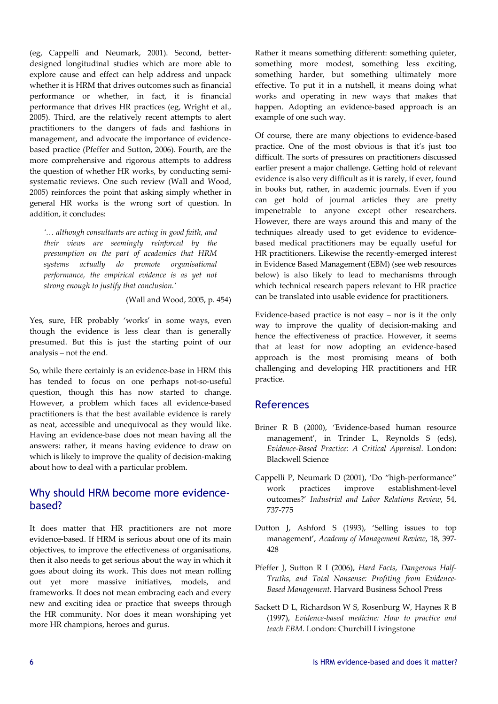(eg, Cappelli and Neumark, 2001). Second, better‐ designed longitudinal studies which are more able to explore cause and effect can help address and unpack whether it is HRM that drives outcomes such as financial performance or whether, in fact, it is financial performance that drives HR practices (eg, Wright et al., 2005). Third, are the relatively recent attempts to alert practitioners to the dangers of fads and fashions in management, and advocate the importance of evidencebased practice (Pfeffer and Sutton, 2006). Fourth, are the more comprehensive and rigorous attempts to address the question of whether HR works, by conducting semi‐ systematic reviews. One such review (Wall and Wood, 2005) reinforces the point that asking simply whether in general HR works is the wrong sort of question. In addition, it concludes:

*'… although consultants are acting in good faith, and their views are seemingly reinforced by the presumption on the part of academics that HRM systems actually do promote organisational performance, the empirical evidence is as yet not strong enough to justify that conclusion.'*

(Wall and Wood, 2005, p. 454)

Yes, sure, HR probably 'works' in some ways, even though the evidence is less clear than is generally presumed. But this is just the starting point of our analysis – not the end.

So, while there certainly is an evidence‐base in HRM this has tended to focus on one perhaps not‐so‐useful question, though this has now started to change. However, a problem which faces all evidence-based practitioners is that the best available evidence is rarely as neat, accessible and unequivocal as they would like. Having an evidence‐base does not mean having all the answers: rather, it means having evidence to draw on which is likely to improve the quality of decision-making about how to deal with a particular problem.

## Why should HRM become more evidencebased?

It does matter that HR practitioners are not more evidence‐based. If HRM is serious about one of its main objectives, to improve the effectiveness of organisations, then it also needs to get serious about the way in which it goes about doing its work. This does not mean rolling out yet more massive initiatives, models, and frameworks. It does not mean embracing each and every new and exciting idea or practice that sweeps through the HR community. Nor does it mean worshiping yet more HR champions, heroes and gurus.

Rather it means something different: something quieter, something more modest, something less exciting, something harder, but something ultimately more effective. To put it in a nutshell, it means doing what works and operating in new ways that makes that happen. Adopting an evidence‐based approach is an example of one such way.

Of course, there are many objections to evidence‐based practice. One of the most obvious is that it's just too difficult. The sorts of pressures on practitioners discussed earlier present a major challenge. Getting hold of relevant evidence is also very difficult as it is rarely, if ever, found in books but, rather, in academic journals. Even if you can get hold of journal articles they are pretty impenetrable to anyone except other researchers. However, there are ways around this and many of the techniques already used to get evidence to evidencebased medical practitioners may be equally useful for HR practitioners. Likewise the recently‐emerged interest in Evidence Based Management (EBM) (see web resources below) is also likely to lead to mechanisms through which technical research papers relevant to HR practice can be translated into usable evidence for practitioners.

Evidence-based practice is not easy  $-$  nor is it the only way to improve the quality of decision‐making and hence the effectiveness of practice. However, it seems that at least for now adopting an evidence‐based approach is the most promising means of both challenging and developing HR practitioners and HR practice.

# References

- Briner R B (2000), 'Evidence-based human resource management', in Trinder L, Reynolds S (eds), *Evidence‐Based Practice: A Critical Appraisal*. London: Blackwell Science
- Cappelli P, Neumark D (2001), 'Do "high‐performance" work practices improve establishment‐level outcomes?' *Industrial and Labor Relations Review*, 54, 737‐775
- Dutton J, Ashford S (1993), 'Selling issues to top management', *Academy of Management Review*, 18, 397‐ 428
- Pfeffer J, Sutton R I (2006), *Hard Facts, Dangerous Half‐ Truths, and Total Nonsense: Profiting from Evidence‐ Based Management.* Harvard Business School Press
- Sackett D L, Richardson W S, Rosenburg W, Haynes R B (1997), *Evidence‐based medicine: How to practice and teach EBM*. London: Churchill Livingstone